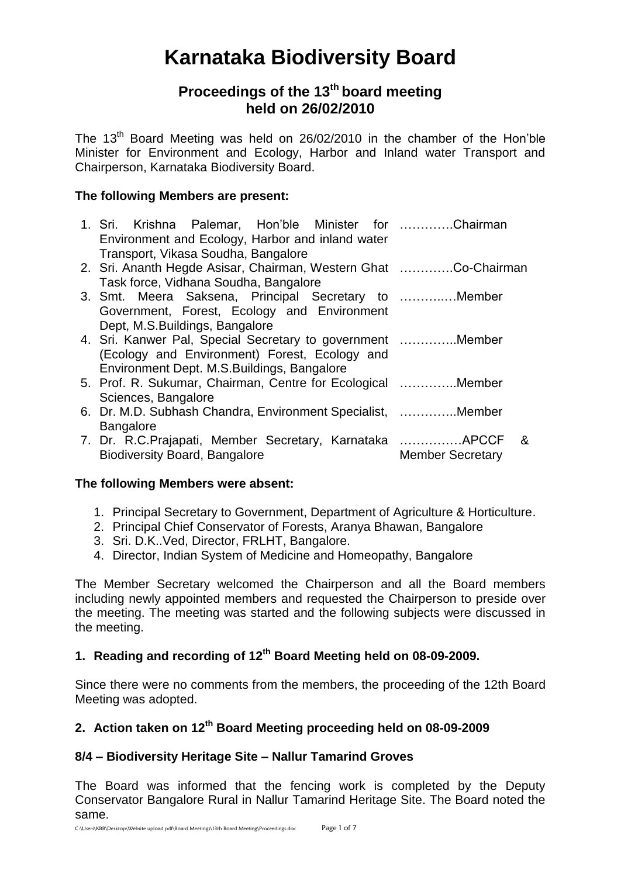# **Karnataka Biodiversity Board**

# **Proceedings of the 13th board meeting held on 26/02/2010**

The 13<sup>th</sup> Board Meeting was held on 26/02/2010 in the chamber of the Hon'ble Minister for Environment and Ecology, Harbor and Inland water Transport and Chairperson, Karnataka Biodiversity Board.

# **The following Members are present:**

| 1. Sri. Krishna Palemar, Hon'ble Minister for Chairman          |                                                                                                                                                                                                                                                                                                                                                                                                                         |
|-----------------------------------------------------------------|-------------------------------------------------------------------------------------------------------------------------------------------------------------------------------------------------------------------------------------------------------------------------------------------------------------------------------------------------------------------------------------------------------------------------|
| Transport, Vikasa Soudha, Bangalore                             |                                                                                                                                                                                                                                                                                                                                                                                                                         |
| 2. Sri. Ananth Hegde Asisar, Chairman, Western Ghat Co-Chairman |                                                                                                                                                                                                                                                                                                                                                                                                                         |
| Task force, Vidhana Soudha, Bangalore                           |                                                                                                                                                                                                                                                                                                                                                                                                                         |
| 3. Smt. Meera Saksena, Principal Secretary to Member            |                                                                                                                                                                                                                                                                                                                                                                                                                         |
| Government, Forest, Ecology and Environment                     |                                                                                                                                                                                                                                                                                                                                                                                                                         |
| Dept, M.S. Buildings, Bangalore                                 |                                                                                                                                                                                                                                                                                                                                                                                                                         |
|                                                                 |                                                                                                                                                                                                                                                                                                                                                                                                                         |
| (Ecology and Environment) Forest, Ecology and                   |                                                                                                                                                                                                                                                                                                                                                                                                                         |
|                                                                 |                                                                                                                                                                                                                                                                                                                                                                                                                         |
|                                                                 |                                                                                                                                                                                                                                                                                                                                                                                                                         |
|                                                                 |                                                                                                                                                                                                                                                                                                                                                                                                                         |
|                                                                 |                                                                                                                                                                                                                                                                                                                                                                                                                         |
| <b>Bangalore</b>                                                |                                                                                                                                                                                                                                                                                                                                                                                                                         |
|                                                                 | _&                                                                                                                                                                                                                                                                                                                                                                                                                      |
|                                                                 | <b>Member Secretary</b>                                                                                                                                                                                                                                                                                                                                                                                                 |
|                                                                 | Environment and Ecology, Harbor and inland water<br>4. Sri. Kanwer Pal, Special Secretary to government  Member<br>Environment Dept. M.S.Buildings, Bangalore<br>5. Prof. R. Sukumar, Chairman, Centre for Ecological Member<br>Sciences, Bangalore<br>6. Dr. M.D. Subhash Chandra, Environment Specialist, Member<br>7. Dr. R.C. Prajapati, Member Secretary, Karnataka  APCCF<br><b>Biodiversity Board, Bangalore</b> |

#### **The following Members were absent:**

- 1. Principal Secretary to Government, Department of Agriculture & Horticulture.
- 2. Principal Chief Conservator of Forests, Aranya Bhawan, Bangalore
- 3. Sri. D.K..Ved, Director, FRLHT, Bangalore.
- 4. Director, Indian System of Medicine and Homeopathy, Bangalore

The Member Secretary welcomed the Chairperson and all the Board members including newly appointed members and requested the Chairperson to preside over the meeting. The meeting was started and the following subjects were discussed in the meeting.

# **1. Reading and recording of 12 th Board Meeting held on 08-09-2009.**

Since there were no comments from the members, the proceeding of the 12th Board Meeting was adopted.

# **2. Action taken on 12 th Board Meeting proceeding held on 08-09-2009**

# **8/4 – Biodiversity Heritage Site – Nallur Tamarind Groves**

The Board was informed that the fencing work is completed by the Deputy Conservator Bangalore Rural in Nallur Tamarind Heritage Site. The Board noted the same.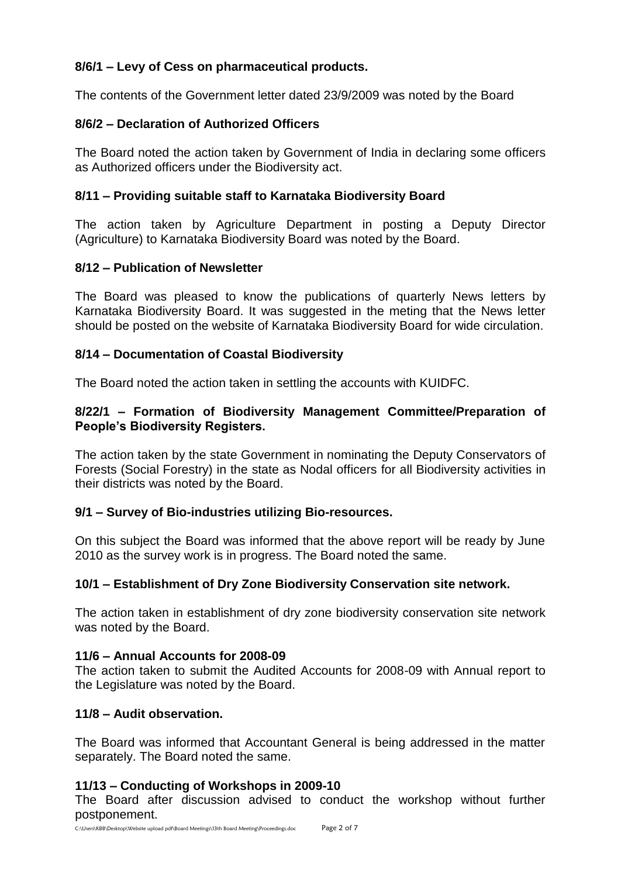# **8/6/1 – Levy of Cess on pharmaceutical products.**

The contents of the Government letter dated 23/9/2009 was noted by the Board

# **8/6/2 – Declaration of Authorized Officers**

The Board noted the action taken by Government of India in declaring some officers as Authorized officers under the Biodiversity act.

# **8/11 – Providing suitable staff to Karnataka Biodiversity Board**

The action taken by Agriculture Department in posting a Deputy Director (Agriculture) to Karnataka Biodiversity Board was noted by the Board.

#### **8/12 – Publication of Newsletter**

The Board was pleased to know the publications of quarterly News letters by Karnataka Biodiversity Board. It was suggested in the meting that the News letter should be posted on the website of Karnataka Biodiversity Board for wide circulation.

# **8/14 – Documentation of Coastal Biodiversity**

The Board noted the action taken in settling the accounts with KUIDFC.

#### **8/22/1 – Formation of Biodiversity Management Committee/Preparation of People's Biodiversity Registers.**

The action taken by the state Government in nominating the Deputy Conservators of Forests (Social Forestry) in the state as Nodal officers for all Biodiversity activities in their districts was noted by the Board.

#### **9/1 – Survey of Bio-industries utilizing Bio-resources.**

On this subject the Board was informed that the above report will be ready by June 2010 as the survey work is in progress. The Board noted the same.

#### **10/1 – Establishment of Dry Zone Biodiversity Conservation site network.**

The action taken in establishment of dry zone biodiversity conservation site network was noted by the Board.

#### **11/6 – Annual Accounts for 2008-09**

The action taken to submit the Audited Accounts for 2008-09 with Annual report to the Legislature was noted by the Board.

#### **11/8 – Audit observation.**

The Board was informed that Accountant General is being addressed in the matter separately. The Board noted the same.

#### **11/13 – Conducting of Workshops in 2009-10**

The Board after discussion advised to conduct the workshop without further postponement.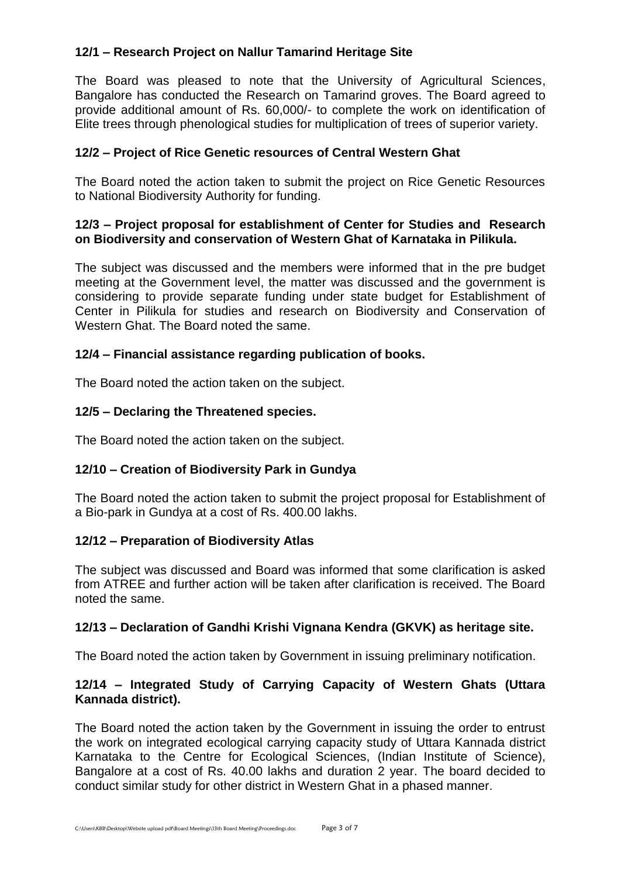# **12/1 – Research Project on Nallur Tamarind Heritage Site**

The Board was pleased to note that the University of Agricultural Sciences, Bangalore has conducted the Research on Tamarind groves. The Board agreed to provide additional amount of Rs. 60,000/- to complete the work on identification of Elite trees through phenological studies for multiplication of trees of superior variety.

#### **12/2 – Project of Rice Genetic resources of Central Western Ghat**

The Board noted the action taken to submit the project on Rice Genetic Resources to National Biodiversity Authority for funding.

#### **12/3 – Project proposal for establishment of Center for Studies and Research on Biodiversity and conservation of Western Ghat of Karnataka in Pilikula.**

The subject was discussed and the members were informed that in the pre budget meeting at the Government level, the matter was discussed and the government is considering to provide separate funding under state budget for Establishment of Center in Pilikula for studies and research on Biodiversity and Conservation of Western Ghat. The Board noted the same.

#### **12/4 – Financial assistance regarding publication of books.**

The Board noted the action taken on the subject.

# **12/5 – Declaring the Threatened species.**

The Board noted the action taken on the subject.

#### **12/10 – Creation of Biodiversity Park in Gundya**

The Board noted the action taken to submit the project proposal for Establishment of a Bio-park in Gundya at a cost of Rs. 400.00 lakhs.

#### **12/12 – Preparation of Biodiversity Atlas**

The subject was discussed and Board was informed that some clarification is asked from ATREE and further action will be taken after clarification is received. The Board noted the same.

#### **12/13 – Declaration of Gandhi Krishi Vignana Kendra (GKVK) as heritage site.**

The Board noted the action taken by Government in issuing preliminary notification.

#### **12/14 – Integrated Study of Carrying Capacity of Western Ghats (Uttara Kannada district).**

The Board noted the action taken by the Government in issuing the order to entrust the work on integrated ecological carrying capacity study of Uttara Kannada district Karnataka to the Centre for Ecological Sciences, (Indian Institute of Science), Bangalore at a cost of Rs. 40.00 lakhs and duration 2 year. The board decided to conduct similar study for other district in Western Ghat in a phased manner.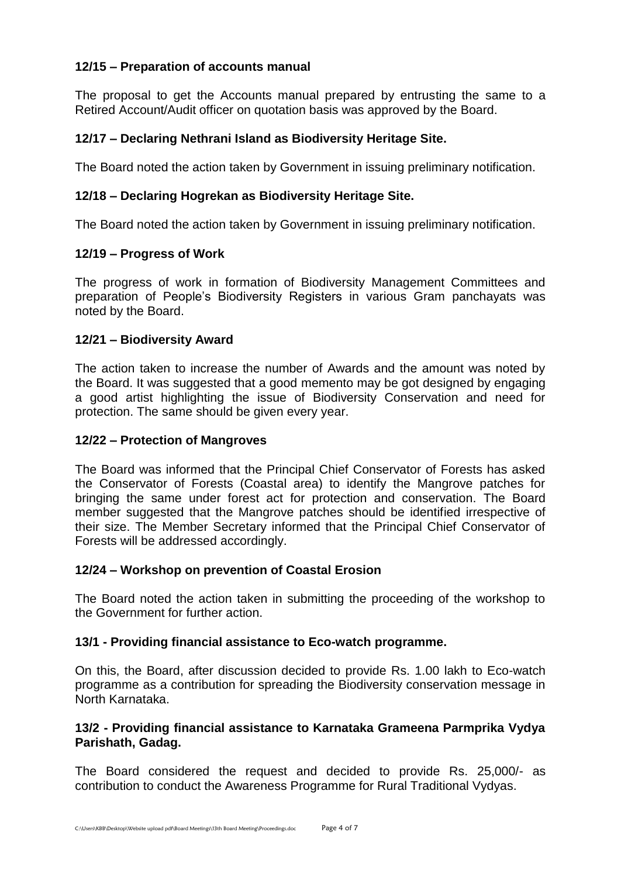# **12/15 – Preparation of accounts manual**

The proposal to get the Accounts manual prepared by entrusting the same to a Retired Account/Audit officer on quotation basis was approved by the Board.

# **12/17 – Declaring Nethrani Island as Biodiversity Heritage Site.**

The Board noted the action taken by Government in issuing preliminary notification.

# **12/18 – Declaring Hogrekan as Biodiversity Heritage Site.**

The Board noted the action taken by Government in issuing preliminary notification.

#### **12/19 – Progress of Work**

The progress of work in formation of Biodiversity Management Committees and preparation of People's Biodiversity Registers in various Gram panchayats was noted by the Board.

#### **12/21 – Biodiversity Award**

The action taken to increase the number of Awards and the amount was noted by the Board. It was suggested that a good memento may be got designed by engaging a good artist highlighting the issue of Biodiversity Conservation and need for protection. The same should be given every year.

#### **12/22 – Protection of Mangroves**

The Board was informed that the Principal Chief Conservator of Forests has asked the Conservator of Forests (Coastal area) to identify the Mangrove patches for bringing the same under forest act for protection and conservation. The Board member suggested that the Mangrove patches should be identified irrespective of their size. The Member Secretary informed that the Principal Chief Conservator of Forests will be addressed accordingly.

#### **12/24 – Workshop on prevention of Coastal Erosion**

The Board noted the action taken in submitting the proceeding of the workshop to the Government for further action.

#### **13/1 - Providing financial assistance to Eco-watch programme.**

On this, the Board, after discussion decided to provide Rs. 1.00 lakh to Eco-watch programme as a contribution for spreading the Biodiversity conservation message in North Karnataka.

#### **13/2 - Providing financial assistance to Karnataka Grameena Parmprika Vydya Parishath, Gadag.**

The Board considered the request and decided to provide Rs. 25,000/- as contribution to conduct the Awareness Programme for Rural Traditional Vydyas.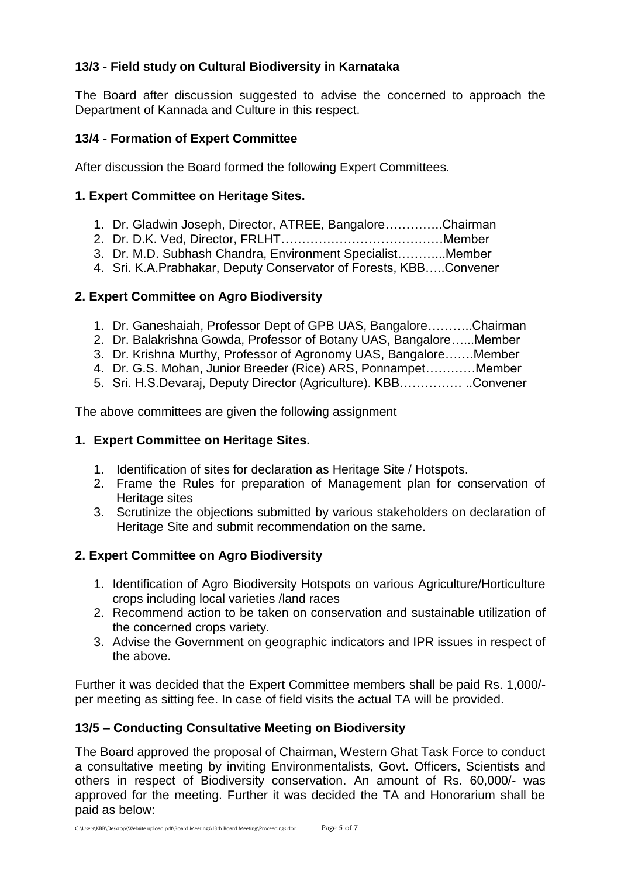# **13/3 - Field study on Cultural Biodiversity in Karnataka**

The Board after discussion suggested to advise the concerned to approach the Department of Kannada and Culture in this respect.

# **13/4 - Formation of Expert Committee**

After discussion the Board formed the following Expert Committees.

# **1. Expert Committee on Heritage Sites.**

- 1. Dr. Gladwin Joseph, Director, ATREE, Bangalore…………..Chairman
- 2. Dr. D.K. Ved, Director, FRLHT…………………………………Member
- 3. Dr. M.D. Subhash Chandra, Environment Specialist………...Member
- 4. Sri. K.A.Prabhakar, Deputy Conservator of Forests, KBB…..Convener

# **2. Expert Committee on Agro Biodiversity**

- 1. Dr. Ganeshaiah, Professor Dept of GPB UAS, Bangalore………..Chairman
- 2. Dr. Balakrishna Gowda, Professor of Botany UAS, Bangalore…...Member
- 3. Dr. Krishna Murthy, Professor of Agronomy UAS, Bangalore…….Member
- 4. Dr. G.S. Mohan, Junior Breeder (Rice) ARS, Ponnampet…………Member
- 5. Sri. H.S.Devaraj, Deputy Director (Agriculture). KBB…………… ..Convener

The above committees are given the following assignment

# **1. Expert Committee on Heritage Sites.**

- 1. Identification of sites for declaration as Heritage Site / Hotspots.
- 2. Frame the Rules for preparation of Management plan for conservation of Heritage sites
- 3. Scrutinize the objections submitted by various stakeholders on declaration of Heritage Site and submit recommendation on the same.

# **2. Expert Committee on Agro Biodiversity**

- 1. Identification of Agro Biodiversity Hotspots on various Agriculture/Horticulture crops including local varieties /land races
- 2. Recommend action to be taken on conservation and sustainable utilization of the concerned crops variety.
- 3. Advise the Government on geographic indicators and IPR issues in respect of the above.

Further it was decided that the Expert Committee members shall be paid Rs. 1,000/ per meeting as sitting fee. In case of field visits the actual TA will be provided.

# **13/5 – Conducting Consultative Meeting on Biodiversity**

The Board approved the proposal of Chairman, Western Ghat Task Force to conduct a consultative meeting by inviting Environmentalists, Govt. Officers, Scientists and others in respect of Biodiversity conservation. An amount of Rs. 60,000/- was approved for the meeting. Further it was decided the TA and Honorarium shall be paid as below: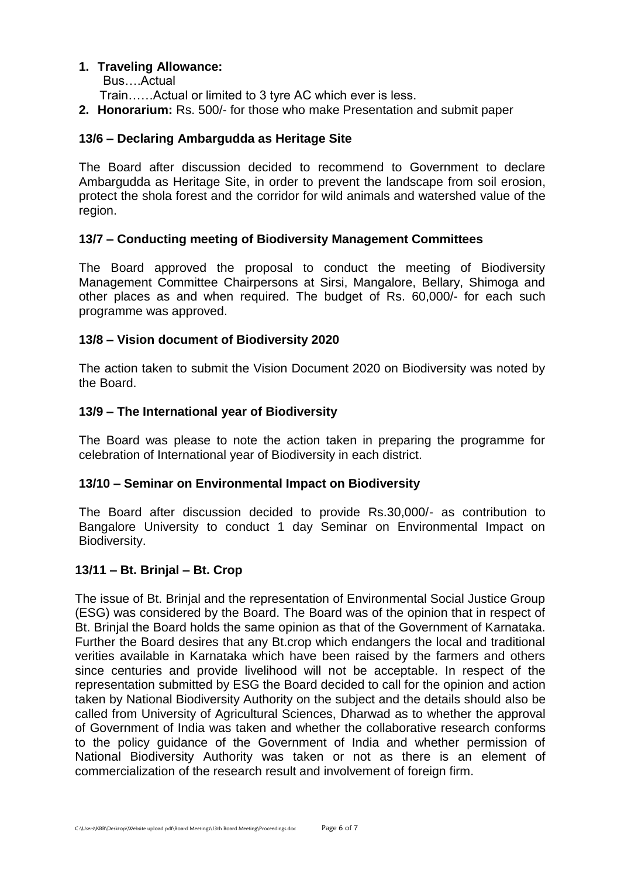#### **1. Traveling Allowance:**

Bus….Actual

Train……Actual or limited to 3 tyre AC which ever is less.

**2. Honorarium:** Rs. 500/- for those who make Presentation and submit paper

# **13/6 – Declaring Ambargudda as Heritage Site**

The Board after discussion decided to recommend to Government to declare Ambargudda as Heritage Site, in order to prevent the landscape from soil erosion, protect the shola forest and the corridor for wild animals and watershed value of the region.

# **13/7 – Conducting meeting of Biodiversity Management Committees**

The Board approved the proposal to conduct the meeting of Biodiversity Management Committee Chairpersons at Sirsi, Mangalore, Bellary, Shimoga and other places as and when required. The budget of Rs. 60,000/- for each such programme was approved.

# **13/8 – Vision document of Biodiversity 2020**

The action taken to submit the Vision Document 2020 on Biodiversity was noted by the Board.

# **13/9 – The International year of Biodiversity**

The Board was please to note the action taken in preparing the programme for celebration of International year of Biodiversity in each district.

#### **13/10 – Seminar on Environmental Impact on Biodiversity**

The Board after discussion decided to provide Rs.30,000/- as contribution to Bangalore University to conduct 1 day Seminar on Environmental Impact on Biodiversity.

# **13/11 – Bt. Brinjal – Bt. Crop**

The issue of Bt. Brinjal and the representation of Environmental Social Justice Group (ESG) was considered by the Board. The Board was of the opinion that in respect of Bt. Brinjal the Board holds the same opinion as that of the Government of Karnataka. Further the Board desires that any Bt.crop which endangers the local and traditional verities available in Karnataka which have been raised by the farmers and others since centuries and provide livelihood will not be acceptable. In respect of the representation submitted by ESG the Board decided to call for the opinion and action taken by National Biodiversity Authority on the subject and the details should also be called from University of Agricultural Sciences, Dharwad as to whether the approval of Government of India was taken and whether the collaborative research conforms to the policy guidance of the Government of India and whether permission of National Biodiversity Authority was taken or not as there is an element of commercialization of the research result and involvement of foreign firm.